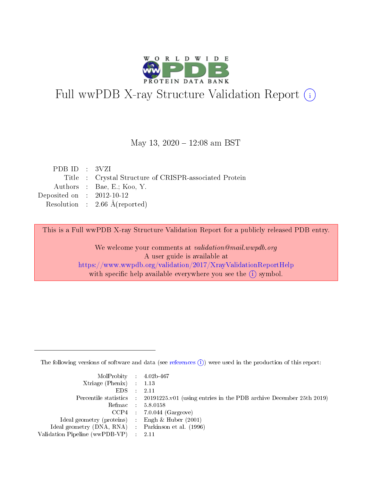

# Full wwPDB X-ray Structure Validation Report (i)

#### May 13,  $2020 - 12:08$  am BST

| PDBID : 3VZI                |                                                        |
|-----------------------------|--------------------------------------------------------|
|                             | Title : Crystal Structure of CRISPR-associated Protein |
|                             | Authors : Bae, E.; Koo, Y.                             |
| Deposited on : $2012-10-12$ |                                                        |
|                             | Resolution : 2.66 Å(reported)                          |
|                             |                                                        |

This is a Full wwPDB X-ray Structure Validation Report for a publicly released PDB entry.

We welcome your comments at validation@mail.wwpdb.org A user guide is available at <https://www.wwpdb.org/validation/2017/XrayValidationReportHelp> with specific help available everywhere you see the  $(i)$  symbol.

The following versions of software and data (see [references](https://www.wwpdb.org/validation/2017/XrayValidationReportHelp#references)  $(i)$ ) were used in the production of this report:

| $MolProbability$ 4.02b-467                          |                                                                                            |
|-----------------------------------------------------|--------------------------------------------------------------------------------------------|
| Xtriage (Phenix) $: 1.13$                           |                                                                                            |
| $EDS$ :                                             | -2.11                                                                                      |
|                                                     | Percentile statistics : 20191225.v01 (using entries in the PDB archive December 25th 2019) |
|                                                     | Refmac : 5.8.0158                                                                          |
|                                                     | $CCP4$ : 7.0.044 (Gargrove)                                                                |
| Ideal geometry (proteins) : Engh $\&$ Huber (2001)  |                                                                                            |
| Ideal geometry (DNA, RNA) : Parkinson et al. (1996) |                                                                                            |
| Validation Pipeline (wwPDB-VP)                      | -2.11                                                                                      |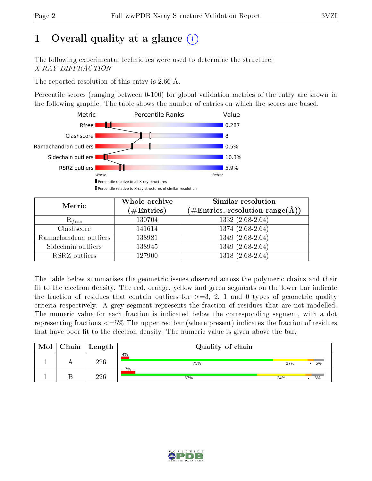# 1 [O](https://www.wwpdb.org/validation/2017/XrayValidationReportHelp#overall_quality)verall quality at a glance  $(i)$

The following experimental techniques were used to determine the structure: X-RAY DIFFRACTION

The reported resolution of this entry is 2.66 Å.

Percentile scores (ranging between 0-100) for global validation metrics of the entry are shown in the following graphic. The table shows the number of entries on which the scores are based.



| Metric                | Whole archive<br>$(\#\mathrm{Entries})$ | Similar resolution<br>$(\#\text{Entries},\, \text{resolution}\; \text{range}(\textup{\AA}))$ |  |  |
|-----------------------|-----------------------------------------|----------------------------------------------------------------------------------------------|--|--|
| $R_{free}$            | 130704                                  | $1332(2.68-2.64)$                                                                            |  |  |
| Clashscore            | 141614                                  | $1374(2.68-2.64)$                                                                            |  |  |
| Ramachandran outliers | 138981                                  | $1349(2.68-2.64)$                                                                            |  |  |
| Sidechain outliers    | 138945                                  | $1349(2.68-2.64)$                                                                            |  |  |
| RSRZ outliers         | 127900                                  | $1318(2.68-2.64)$                                                                            |  |  |

The table below summarises the geometric issues observed across the polymeric chains and their fit to the electron density. The red, orange, yellow and green segments on the lower bar indicate the fraction of residues that contain outliers for  $>=3, 2, 1$  and 0 types of geometric quality criteria respectively. A grey segment represents the fraction of residues that are not modelled. The numeric value for each fraction is indicated below the corresponding segment, with a dot representing fractions  $\epsilon=5\%$  The upper red bar (where present) indicates the fraction of residues that have poor fit to the electron density. The numeric value is given above the bar.

| Mol | Chain   Length | Quality of chain |     |    |  |  |  |
|-----|----------------|------------------|-----|----|--|--|--|
|     | 226            | 4%<br>75%        | 17% | 5% |  |  |  |
|     | ววธ            | 7%<br>67%        | 24% | 6% |  |  |  |

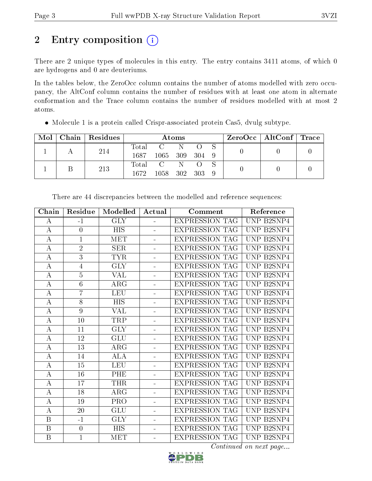# 2 Entry composition (i)

There are 2 unique types of molecules in this entry. The entry contains 3411 atoms, of which 0 are hydrogens and 0 are deuteriums.

In the tables below, the ZeroOcc column contains the number of atoms modelled with zero occupancy, the AltConf column contains the number of residues with at least one atom in alternate conformation and the Trace column contains the number of residues modelled with at most 2 atoms.

| Mol |     | Chain   Residues | Atoms            |              |   |  |  | $\text{ZeroOcc} \mid \text{AltConf} \mid \text{Trace}$ |  |
|-----|-----|------------------|------------------|--------------|---|--|--|--------------------------------------------------------|--|
|     |     | 214              | $\mathrm{Total}$ | $\mathbf{C}$ | N |  |  |                                                        |  |
|     |     | 1687             | 1065 309 304 9   |              |   |  |  |                                                        |  |
|     |     |                  |                  | Total C N    |   |  |  |                                                        |  |
|     | 213 | 1672.            | 1058 302 303     |              |   |  |  |                                                        |  |

Molecule 1 is a protein called Crispr-associated protein Cas5, dvulg subtype.

| Chain            | Residue         | Modelled                | Actual         | Comment               | Reference                                     |
|------------------|-----------------|-------------------------|----------------|-----------------------|-----------------------------------------------|
| A                | $-1$            | $\overline{\text{GLY}}$ | L.             | <b>EXPRESSION TAG</b> | <b>UNP B2SNP4</b>                             |
| $\bf{A}$         | $\overline{0}$  | <b>HIS</b>              |                | <b>EXPRESSION TAG</b> | UNP B2SNP4                                    |
| $\bf{A}$         | $\mathbf{1}$    | <b>MET</b>              | L.             | <b>EXPRESSION TAG</b> | UNP B2SNP4                                    |
| А                | $\overline{2}$  | <b>SER</b>              | L,             | <b>EXPRESSION TAG</b> | UNP B2SNP4                                    |
| $\bf{A}$         | $\overline{3}$  | <b>TYR</b>              | ÷.             | <b>EXPRESSION TAG</b> | UNP B2SNP4                                    |
| A                | 4               | <b>GLY</b>              | ÷              | <b>EXPRESSION TAG</b> | <b>UNP</b><br>B <sub>2</sub> SNP <sub>4</sub> |
| $\bf{A}$         | $\overline{5}$  | <b>VAL</b>              | $\overline{a}$ | <b>EXPRESSION TAG</b> | UNP B2SNP4                                    |
| A                | $\overline{6}$  | $\rm{ARG}$              | ÷,             | <b>EXPRESSION TAG</b> | UNP B2SNP4                                    |
| $\bf{A}$         | $\overline{7}$  | <b>LEU</b>              | ÷,             | <b>EXPRESSION TAG</b> | UNP B2SNP4                                    |
| $\bf{A}$         | $\overline{8}$  | $\overline{HIS}$        | ÷,             | <b>EXPRESSION TAG</b> | <b>UNP B2SNP4</b>                             |
| $\bf{A}$         | 9               | <b>VAL</b>              | $\equiv$       | <b>EXPRESSION TAG</b> | UNP B2SNP4                                    |
| $\bf{A}$         | 10              | TRP                     |                | <b>EXPRESSION TAG</b> | UNP B2SNP4                                    |
| $\boldsymbol{A}$ | 11              | <b>GLY</b>              | ÷.             | <b>EXPRESSION TAG</b> | UNP B2SNP4                                    |
| $\boldsymbol{A}$ | 12              | <b>GLU</b>              | ÷,             | <b>EXPRESSION TAG</b> | UNP B2SNP4                                    |
| $\bf{A}$         | 13              | $\rm{ARG}$              | ÷              | <b>EXPRESSION TAG</b> | <b>UNP</b><br>B <sub>2</sub> SNP <sub>4</sub> |
| $\bf{A}$         | 14              | <b>ALA</b>              | ÷,             | <b>EXPRESSION TAG</b> | UNP B2SNP4                                    |
| $\bf{A}$         | $\overline{15}$ | <b>LEU</b>              | ÷,             | <b>EXPRESSION TAG</b> | UNP B2SNP4                                    |
| $\boldsymbol{A}$ | 16              | PHE                     | ÷              | <b>EXPRESSION TAG</b> | B <sub>2</sub> SNP <sub>4</sub><br><b>UNP</b> |
| $\bf{A}$         | 17              | <b>THR</b>              | ÷.             | <b>EXPRESSION TAG</b> | UNP B2SNP4                                    |
| A                | 18              | ARG                     | Ξ.             | <b>EXPRESSION TAG</b> | UNP B2SNP4                                    |
| $\bf{A}$         | 19              | PRO                     |                | <b>EXPRESSION TAG</b> | UNP B2SNP4                                    |
| $\boldsymbol{A}$ | 20              | GLU                     | ÷              | <b>EXPRESSION TAG</b> | UNP B2SNP4                                    |
| B                | $-1$            | <b>GLY</b>              | ÷,             | <b>EXPRESSION TAG</b> | <b>UNP</b><br>B <sub>2</sub> SNP <sub>4</sub> |
| $\boldsymbol{B}$ | $\overline{0}$  | <b>HIS</b>              | ÷              | <b>EXPRESSION TAG</b> | <b>UNP</b><br>B <sub>2</sub> SNP <sub>4</sub> |
| $\overline{B}$   | $\mathbf{1}$    | MET                     |                | <b>EXPRESSION TAG</b> | UNP B2SNP4                                    |

There are 44 discrepancies between the modelled and reference sequences:

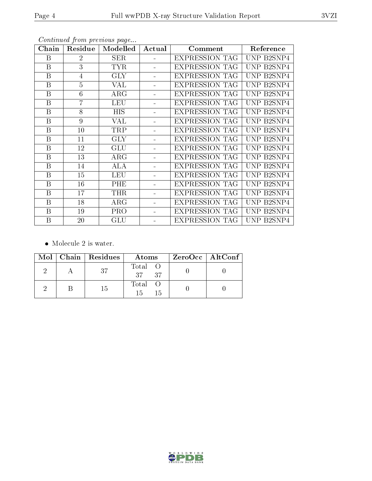| Chain            | Residue        | Modelled   | Actual | Comment               | Reference  |
|------------------|----------------|------------|--------|-----------------------|------------|
| B                | $\overline{2}$ | <b>SER</b> |        | <b>EXPRESSION TAG</b> | UNP B2SNP4 |
| $\mathbf{B}$     | 3              | <b>TYR</b> |        | <b>EXPRESSION TAG</b> | UNP B2SNP4 |
| B                | 4              | <b>GLY</b> |        | <b>EXPRESSION TAG</b> | UNP B2SNP4 |
| B                | 5              | VAL        |        | <b>EXPRESSION TAG</b> | UNP B2SNP4 |
| B                | 6              | ARG        |        | <b>EXPRESSION TAG</b> | UNP B2SNP4 |
| B                | $\overline{7}$ | <b>LEU</b> |        | <b>EXPRESSION TAG</b> | UNP B2SNP4 |
| B                | 8              | <b>HIS</b> |        | <b>EXPRESSION TAG</b> | UNP B2SNP4 |
| B                | 9              | VAL        |        | <b>EXPRESSION TAG</b> | UNP B2SNP4 |
| B                | 10             | <b>TRP</b> |        | <b>EXPRESSION TAG</b> | UNP B2SNP4 |
| B                | 11             | <b>GLY</b> |        | <b>EXPRESSION TAG</b> | UNP B2SNP4 |
| B                | 12             | <b>GLU</b> |        | <b>EXPRESSION TAG</b> | UNP B2SNP4 |
| B                | 13             | $\rm{ARG}$ |        | <b>EXPRESSION TAG</b> | UNP B2SNP4 |
| B                | 14             | ALA        |        | <b>EXPRESSION TAG</b> | UNP B2SNP4 |
| B                | 15             | <b>LEU</b> |        | <b>EXPRESSION TAG</b> | UNP B2SNP4 |
| B                | 16             | PHE        |        | <b>EXPRESSION TAG</b> | UNP B2SNP4 |
| $\boldsymbol{B}$ | 17             | <b>THR</b> |        | <b>EXPRESSION TAG</b> | UNP B2SNP4 |
| B                | 18             | $\rm{ARG}$ |        | <b>EXPRESSION TAG</b> | UNP B2SNP4 |
| B                | 19             | <b>PRO</b> |        | <b>EXPRESSION TAG</b> | UNP B2SNP4 |
| B                | 20             | GLU        |        | <b>EXPRESSION TAG</b> | UNP B2SNP4 |

Continued from previous page...

• Molecule 2 is water.

|  | $Mol$   Chain   Residues | Atoms                     | ZeroOcc   AltConf |  |
|--|--------------------------|---------------------------|-------------------|--|
|  |                          | Total O<br>37 37          |                   |  |
|  | 15                       | Total O<br>$15 -$<br>- 15 |                   |  |

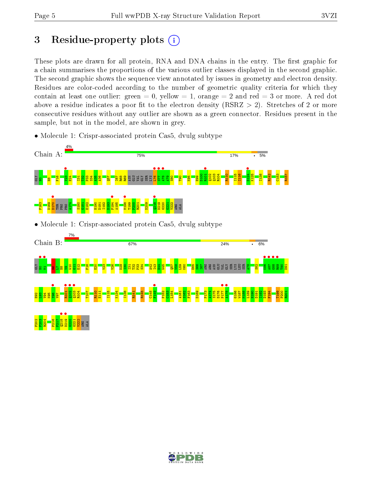# 3 Residue-property plots  $(i)$

These plots are drawn for all protein, RNA and DNA chains in the entry. The first graphic for a chain summarises the proportions of the various outlier classes displayed in the second graphic. The second graphic shows the sequence view annotated by issues in geometry and electron density. Residues are color-coded according to the number of geometric quality criteria for which they contain at least one outlier: green  $= 0$ , yellow  $= 1$ , orange  $= 2$  and red  $= 3$  or more. A red dot above a residue indicates a poor fit to the electron density (RSRZ  $> 2$ ). Stretches of 2 or more consecutive residues without any outlier are shown as a green connector. Residues present in the sample, but not in the model, are shown in grey.

• Molecule 1: Crispr-associated protein Cas5, dvulg subtype



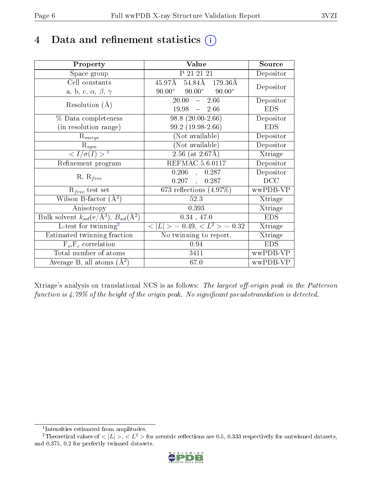# 4 Data and refinement statistics  $(i)$

| Property                                                         | Value                                            | Source     |
|------------------------------------------------------------------|--------------------------------------------------|------------|
| Space group                                                      | P 21 21 21                                       | Depositor  |
| Cell constants                                                   | 54.84Å 179.36Å<br>45.97Å                         | Depositor  |
| a, b, c, $\alpha$ , $\beta$ , $\gamma$                           | $90.00^{\circ}$ $90.00^{\circ}$<br>$90.00^\circ$ |            |
| Resolution $(A)$                                                 | 20.00<br>$-2.66$                                 | Depositor  |
|                                                                  | $19.98 - 2.66$                                   | <b>EDS</b> |
| % Data completeness                                              | $98.8(20.00-2.66)$                               | Depositor  |
| (in resolution range)                                            | $99.2(19.98-2.66)$                               | <b>EDS</b> |
| $R_{merge}$                                                      | (Not available)                                  | Depositor  |
| $\mathrm{R}_{sym}$                                               | (Not available)                                  | Depositor  |
| $\langle I/\sigma(I) \rangle^{-1}$                               | $2.56$ (at $2.67\text{\AA}$ )                    | Xtriage    |
| Refinement program                                               | <b>REFMAC 5.6.0117</b>                           | Depositor  |
|                                                                  | $0.206$ ,<br>0.287                               | Depositor  |
| $R, R_{free}$                                                    | 0.207,<br>0.287                                  | DCC        |
| $\mathcal{R}_{free}$ test set                                    | 673 reflections $(4.97\%)$                       | wwPDB-VP   |
| Wilson B-factor $(A^2)$                                          | 52.3                                             | Xtriage    |
| Anisotropy                                                       | 0.393                                            | Xtriage    |
| Bulk solvent $k_{sol}(\text{e}/\text{A}^3), B_{sol}(\text{A}^2)$ | $0.34$ , 47.0                                    | <b>EDS</b> |
| L-test for $\overline{\text{twinning}}^2$                        | $< L >$ = 0.49, $< L^2 >$ = 0.32                 | Xtriage    |
| Estimated twinning fraction                                      | No twinning to report.                           | Xtriage    |
| $F_o, F_c$ correlation                                           | 0.94                                             | <b>EDS</b> |
| Total number of atoms                                            | 3411                                             | wwPDB-VP   |
| Average B, all atoms $(A^2)$                                     | 67.0                                             | wwPDB-VP   |

Xtriage's analysis on translational NCS is as follows: The largest off-origin peak in the Patterson function is  $4.79\%$  of the height of the origin peak. No significant pseudotranslation is detected.

<sup>&</sup>lt;sup>2</sup>Theoretical values of  $\langle |L| \rangle$ ,  $\langle L^2 \rangle$  for acentric reflections are 0.5, 0.333 respectively for untwinned datasets, and 0.375, 0.2 for perfectly twinned datasets.



<span id="page-5-1"></span><span id="page-5-0"></span><sup>1</sup> Intensities estimated from amplitudes.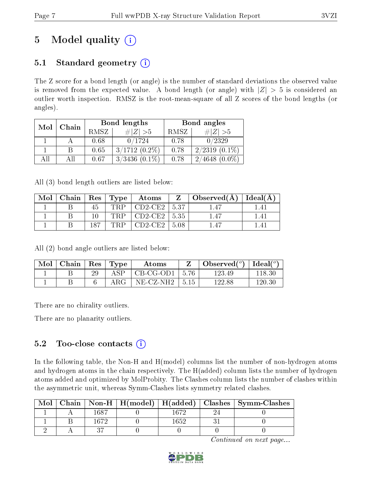# 5 Model quality  $(i)$

# 5.1 Standard geometry  $(i)$

The Z score for a bond length (or angle) is the number of standard deviations the observed value is removed from the expected value. A bond length (or angle) with  $|Z| > 5$  is considered an outlier worth inspection. RMSZ is the root-mean-square of all Z scores of the bond lengths (or angles).

| Mol | Chain |      | Bond lengths        | Bond angles |                                   |  |
|-----|-------|------|---------------------|-------------|-----------------------------------|--|
|     |       | RMSZ | $\# Z  > 5$         | RMSZ        | $\# Z  > 5$                       |  |
|     |       | 0.68 | 0/1724              | 0.78        | 0/2329                            |  |
|     |       | 0.65 | $3/1712(0.2\%)$     | 0.78        | $2/2319(0.1\%)$                   |  |
|     |       | 0.67 | $(0.1\%)$<br>3/3436 | 0.78        | 4648<br>$(0.0\%)$<br>$2^{\prime}$ |  |

All (3) bond length outliers are listed below:

| Mol |     | Chain   Res   Type | Atoms     |         | Observed $(A)$ | Ideal(A) |
|-----|-----|--------------------|-----------|---------|----------------|----------|
|     |     | TRP                | $CD2-CE2$ | 5.37    |                |          |
|     |     | TRP                | $CD2-CE2$ | $-5.35$ |                |          |
|     | 187 | TRP                | $CD2-CE2$ | 5.08    |                |          |

All (2) bond angle outliers are listed below:

| Mol | $\vert$ Chain $\vert$ Res $\vert$ Type |            | Atoms               | $\bullet$ Observed( $^o$ )   Ideal( $^o$ ) |        |
|-----|----------------------------------------|------------|---------------------|--------------------------------------------|--------|
|     |                                        | ΔSΡ        | CB-CG-OD1   5.76    | 123.49                                     | 118.30 |
|     |                                        | $\rm{ARG}$ | $NE- CZ-NH2$   5.15 | 122.88                                     | 120.30 |

There are no chirality outliers.

There are no planarity outliers.

### 5.2 Too-close contacts  $(i)$

In the following table, the Non-H and H(model) columns list the number of non-hydrogen atoms and hydrogen atoms in the chain respectively. The H(added) column lists the number of hydrogen atoms added and optimized by MolProbity. The Clashes column lists the number of clashes within the asymmetric unit, whereas Symm-Clashes lists symmetry related clashes.

| Mol |      |      | Chain   Non-H   H(model)   H(added)   Clashes   Symm-Clashes |
|-----|------|------|--------------------------------------------------------------|
|     | 1687 | 1672 |                                                              |
|     | 1672 | 1652 |                                                              |
|     |      |      |                                                              |

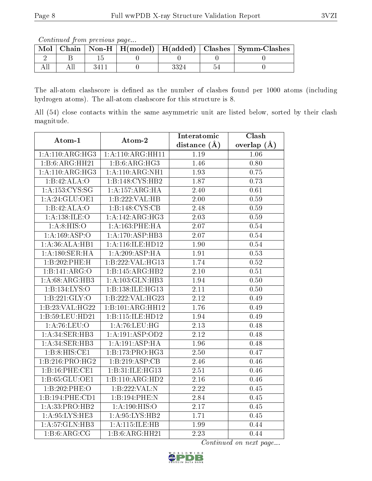Continued from previous page...

| Mol |  |  |     | Chain   Non-H   H(model)   H(added)   Clashes   Symm-Clashes |
|-----|--|--|-----|--------------------------------------------------------------|
|     |  |  |     |                                                              |
|     |  |  | 'n. |                                                              |

The all-atom clashscore is defined as the number of clashes found per 1000 atoms (including hydrogen atoms). The all-atom clashscore for this structure is 8.

All (54) close contacts within the same asymmetric unit are listed below, sorted by their clash magnitude.

| Atom-1            | Atom-2                       | Interatomic       | Clash           |
|-------------------|------------------------------|-------------------|-----------------|
|                   |                              | distance $(A)$    | overlap $(\AA)$ |
| 1:A:110:ARG:HG3   | 1:A:110:ARG:HH11             | 1.19              | 1.06            |
| 1:B:6:ARG:HH21    | 1:B:6:ARG:HG3                | 1.46              | 0.80            |
| 1:A:110:ARG:HG3   | 1: A:110: ARG: NH1           | 1.93              | 0.75            |
| 1:B:42:ALA:O      | 1:B:148:CYS:HB2              | 1.87              | 0.73            |
| 1:A:153:CYS:SG    | 1:A:157:ARG:HA               | 2.40              | 0.61            |
| 1: A:24: GLU:OE1  | 1:B:222:VAL:HB               | $\overline{2.00}$ | 0.59            |
| 1:B:42:ALA:O      | 1:B:148:CYS:CB               | $\overline{2.48}$ | 0.59            |
| 1:A:138:ILE:O     | $1:A:142:A\overline{R}G:HG3$ | 2.03              | 0.59            |
| 1: A:8: HIS:O     | 1: A: 163: PHE: HA           | 2.07              | 0.54            |
| 1: A: 169: ASP: O | $1:A:\overline{170:ASP:HB3}$ | 2.07              | 0.54            |
| 1:A:36:ALA:HB1    | 1:A:116:ILE:HD12             | 1.90              | 0.54            |
| 1:A:180:SER:HA    | 1:A:209:ASP:HA               | 1.91              | 0.53            |
| 1:B:202:PHE:H     | 1:B:222:VAL:HG13             | 1.74              | 0.52            |
| 1:B:141:ARG:O     | 1:B:145:ARG:HB2              | 2.10              | 0.51            |
| 1: A:68: ARG:HB3  | 1: A: 103: GLN: HB3          | 1.94              | 0.50            |
| 1:B:134:LYS:O     | 1:B:138:ILE:HG13             | 2.11              | 0.50            |
| 1: B: 221: GLY:O  | 1:B:222:VAL:HG23             | 2.12              | 0.49            |
| 1:B:23:VAL:HG22   | 1:B:101:ARG:HH12             | 1.76              | 0.49            |
| 1:B:59:LEU:HD21   | 1:B:115:ILE:HD12             | 1.94              | 0.49            |
| 1: A:76:LEU:O     | 1: A:76: LEU:HG              | 2.13              | 0.48            |
| 1:A:34:SER:HB3    | 1:A:191:ASP:OD2              | 2.12              | 0.48            |
| 1: A:34: SER:HB3  | 1:A:191:ASP:HA               | 1.96              | 0.48            |
| 1:B:8:HIS:CE1     | 1:B:173:PRO:HG3              | 2.50              | 0.47            |
| 1:B:216:PRO:HG2   | 1:B:219:ASP:CB               | 2.46              | 0.46            |
| 1:B:16:PHE:CE1    | 1:B:31:ILE:HG13              | 2.51              | 0.46            |
| 1:B:65:GLU:OE1    | 1:B:110:ARG:HD2              | $\overline{2.16}$ | 0.46            |
| 1:B:202:PHE:O     | 1:B:222:VAL:N                | $\overline{2.22}$ | 0.45            |
| 1:B:194:PHE:CD1   | 1:B:194:PHE:N                | 2.84              | 0.45            |
| 1:A:33:PRO:HB2    | 1:A:190:HIS:O                | 2.17              | 0.45            |
| 1: A:95:LYS:HE3   | 1: A:95:LYS:HB2              | 1.71              | 0.45            |
| 1:A:57:GLN:HB3    | 1:A:115:ILE:HB               | 1.99              | 0.44            |
| 1:B:6:ARG:CG      | 1:B:6:ARG:HH21               | $\overline{2.23}$ | 0.44            |

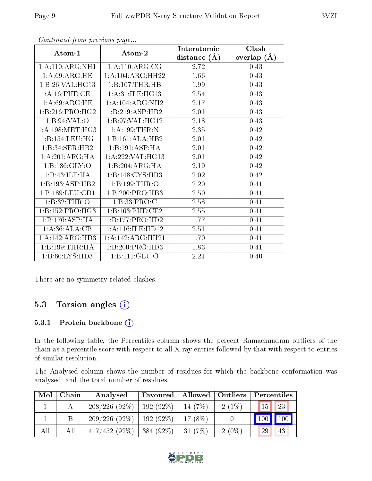|                             |                             | Interatomic      | Clash         |
|-----------------------------|-----------------------------|------------------|---------------|
| Atom-1                      | Atom-2                      | distance $(\AA)$ | overlap $(A)$ |
| 1:A:110:ARG:NH1             | 1:A:110:ARG:CG              | 2.72             | 0.43          |
| 1: A:69: ARG:HE             | 1:A:104:ARG:HH22            | 1.66             | 0.43          |
| 1:B:26:VAL:HG13             | 1:B:107:THR:HB              | 1.99             | 0.43          |
| 1:A:16:PHE:CE1              | 1: A:31: ILE: HG13          | 2.54             | 0.43          |
| 1: A:69: ARG: HE            | 1: A: 104: ARG: NH2         | 2.17             | 0.43          |
| 1:B:216:PRO:HG2             | 1:B:219:ASP:HB2             | 2.01             | 0.43          |
| 1: B:94: VAL:O              | 1:1:97:VAL:HG12             | 2.18             | 0.43          |
| 1: A: 198: MET:HG3          | 1: A:199:THR:N              | 2.35             | 0.42          |
| 1:B:154:LEU:HG              | 1:B:161:ALA:HB2             | 2.01             | 0.42          |
| $1:B:34:SER:H\overline{B2}$ | $1:B:191:\overline{ASP:HA}$ | 2.01             | 0.42          |
| 1: A:201: ARG:HA            | 1: A:222:VAL:HG13           | 2.01             | 0.42          |
| 1:B:186:GLY:O               | 1:B:204:ARG:HA              | 2.19             | 0.42          |
| 1:B:43:ILE:HA               | 1:B:148:CYS:HB3             | 2.02             | 0.42          |
| 1:B:193:ASP:HB2             | 1:B:199:THR:O               | 2.20             | 0.41          |
| 1:B:189:LEU:CD1             | 1:B:200:PRO:HB3             | $2.50\,$         | 0.41          |
| 1:B:32:THR:O                | 1:B:33:PRO:C                | 2.58             | 0.41          |
| 1:B:152:PRO:HG3             | 1:B:163:PHE:CE2             | 2.55             | 0.41          |
| 1:B:176:ASP:HA              | 1:B:177:PRO:HD2             | 1.77             | 0.41          |
| 1:A:36:ALA:CB               | $1:$ A:116:ILE:HD12         | 2.51             | 0.41          |
| 1:A:142:ARG:HD3             | 1:A:142:ARG:HH21            | 1.70             | 0.41          |
| 1:B:199:THR:HA              | 1:B:200:PRO:HD3             | 1.83             | 0.41          |
| 1: B:60: LYS:HD3            | 1:B:111:GLU:O               | 2.21             | 0.40          |

Continued from previous page...

There are no symmetry-related clashes.

### 5.3 Torsion angles (i)

#### 5.3.1 Protein backbone (i)

In the following table, the Percentiles column shows the percent Ramachandran outliers of the chain as a percentile score with respect to all X-ray entries followed by that with respect to entries of similar resolution.

The Analysed column shows the number of residues for which the backbone conformation was analysed, and the total number of residues.

| Mol | Chain | Analysed        | Favoured    | Allowed    | <b>Outliers</b> | Percentiles     |     |
|-----|-------|-----------------|-------------|------------|-----------------|-----------------|-----|
|     |       | $208/226(92\%)$ | $192(92\%)$ | 14 (7\%)   | $2(1\%)$        | 15 <sup>1</sup> | 23  |
|     |       | 209/226(92%)    | $192(92\%)$ | 17 $(8\%)$ |                 |                 | 100 |
| All | Αll   | $417/452(92\%)$ | $384(92\%)$ | 31(7%)     | $2(0\%)$        | 29              | 43  |

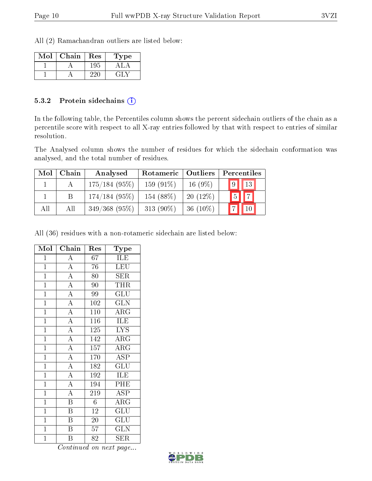All (2) Ramachandran outliers are listed below:

| $\operatorname{Mol}$ | Chain | Res | Type |
|----------------------|-------|-----|------|
|                      |       | 195 |      |
|                      |       |     |      |

#### 5.3.2 Protein sidechains  $\left( \widehat{\mathbf{i}} \right)$

In the following table, the Percentiles column shows the percent sidechain outliers of the chain as a percentile score with respect to all X-ray entries followed by that with respect to entries of similar resolution.

The Analysed column shows the number of residues for which the sidechain conformation was analysed, and the total number of residues.

| Mol | Chain | Analysed        | Rotameric    | Outliers    | Percentiles |                |
|-----|-------|-----------------|--------------|-------------|-------------|----------------|
|     |       | $175/184(95\%)$ | $159(91\%)$  | $16(9\%)$   | $9$ $13$    |                |
|     |       | $174/184(95\%)$ | 154 (88\%)   | $20(12\%)$  | $5^{\circ}$ | $\overline{ }$ |
| All | All   | $349/368$ (95%) | 313 $(90\%)$ | 36 $(10\%)$ |             |                |

All (36) residues with a non-rotameric sidechain are listed below:

| Mol            | $\overline{\text{Chain}}$ | Res              | Type                    |
|----------------|---------------------------|------------------|-------------------------|
| $\mathbf{1}$   | $\overline{A}$            | 67               | ILE                     |
| $\mathbf{1}$   | $\overline{A}$            | 76               | <b>LEU</b>              |
| $\overline{1}$ | $\overline{A}$            | $\overline{80}$  | SER                     |
| $\overline{1}$ | $\overline{A}$            | 90               | <b>THR</b>              |
| $\overline{1}$ | $\overline{A}$            | 99               | $\overline{\text{GLU}}$ |
| $\overline{1}$ | $\overline{A}$            | 102              | <b>GLN</b>              |
| $\mathbf{1}$   | $\overline{A}$            | 110              | ARG                     |
| $\overline{1}$ | $\overline{A}$            | 116              | <b>ILE</b>              |
| $\overline{1}$ | $\overline{A}$            | 125              | <b>LYS</b>              |
| $\overline{1}$ | $\overline{A}$            | $\overline{142}$ | $\overline{\rm{ARG}}$   |
| $\overline{1}$ | $\frac{1}{\overline{A}}$  | $\overline{1}57$ | $\rm{ARG}$              |
| $\overline{1}$ | $\overline{A}$            | $\overline{1}70$ | $\overline{\rm ASP}$    |
| $\overline{1}$ | $\overline{A}$            | 182              | $\overline{{\rm GLU}}$  |
| $\mathbf{1}$   | $\overline{A}$            | 192              | ILE                     |
| $\mathbf{1}$   | $\overline{A}$            | 194              | PHE                     |
| $\overline{1}$ | $\overline{A}$            | 219              | $\overline{\text{ASP}}$ |
| $\overline{1}$ | $\overline{\mathbf{B}}$   | $\overline{6}$   | $\overline{\rm{ARG}}$   |
| $\mathbf{1}$   | B                         | 12               | <b>GLU</b>              |
| $\overline{1}$ | $\overline{\mathbf{B}}$   | $\overline{20}$  | $\overline{{\rm GLU}}$  |
| $\overline{1}$ | $\overline{\mathrm{B}}$   | 57               | $\overline{\text{GLN}}$ |
| $\mathbf 1$    | Β                         | 82               | SER                     |

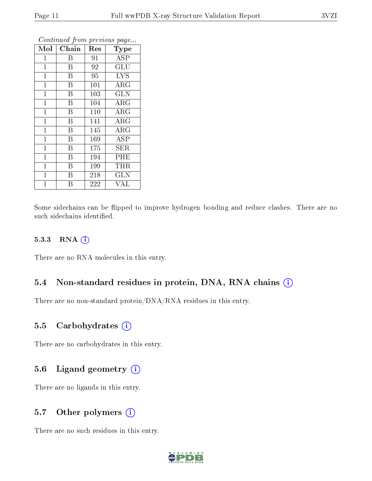| Mol          | Chain | Res | Type       |
|--------------|-------|-----|------------|
| 1            | Β     | 91  | <b>ASP</b> |
| $\mathbf{1}$ | B     | 92  | <b>GLU</b> |
| $\mathbf{1}$ | B     | 95  | <b>LYS</b> |
| $\mathbf{1}$ | B     | 101 | $\rm{ARG}$ |
| $\mathbf{1}$ | B     | 103 | <b>GLN</b> |
| $\mathbf{1}$ | B     | 104 | ARG        |
| $\mathbf{1}$ | B     | 110 | $\rm{ARG}$ |
| $\mathbf{1}$ | B     | 141 | ARG        |
| $\mathbf{1}$ | B     | 145 | $\rm{ARG}$ |
| $\mathbf{1}$ | B     | 169 | ASP        |
| $\mathbf{1}$ | B     | 175 | SER        |
| $\mathbf 1$  | B     | 194 | PHE        |
| $\mathbf{1}$ | B     | 199 | THR        |
| $\mathbf{1}$ | B     | 218 | <b>GLN</b> |
| 1            | Β     | 222 | VAL        |

Continued from previous page...

Some sidechains can be flipped to improve hydrogen bonding and reduce clashes. There are no such sidechains identified.

#### 5.3.3 RNA [O](https://www.wwpdb.org/validation/2017/XrayValidationReportHelp#rna)i

There are no RNA molecules in this entry.

#### 5.4 Non-standard residues in protein, DNA, RNA chains (i)

There are no non-standard protein/DNA/RNA residues in this entry.

#### 5.5 Carbohydrates  $(i)$

There are no carbohydrates in this entry.

#### 5.6 Ligand geometry  $(i)$

There are no ligands in this entry.

### 5.7 [O](https://www.wwpdb.org/validation/2017/XrayValidationReportHelp#nonstandard_residues_and_ligands)ther polymers  $(i)$

There are no such residues in this entry.

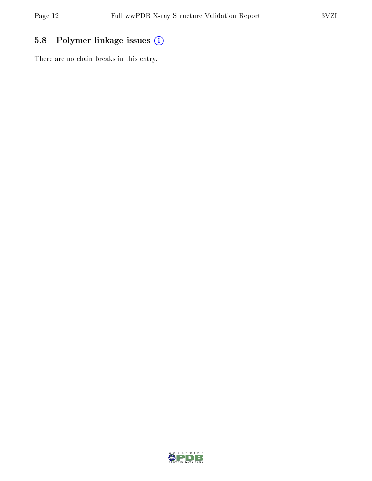# 5.8 Polymer linkage issues (i)

There are no chain breaks in this entry.

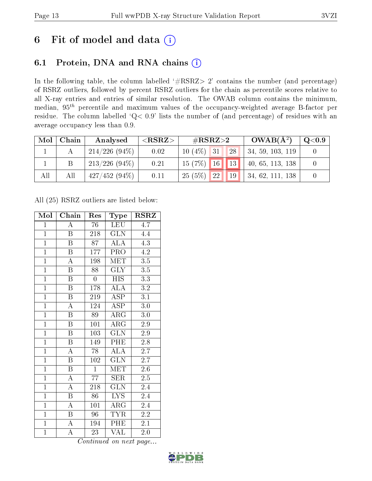# 6 Fit of model and data  $(i)$

### 6.1 Protein, DNA and RNA chains  $(i)$

In the following table, the column labelled  $#RSRZ> 2'$  contains the number (and percentage) of RSRZ outliers, followed by percent RSRZ outliers for the chain as percentile scores relative to all X-ray entries and entries of similar resolution. The OWAB column contains the minimum, median,  $95<sup>th</sup>$  percentile and maximum values of the occupancy-weighted average B-factor per residue. The column labelled ' $Q< 0.9$ ' lists the number of (and percentage) of residues with an average occupancy less than 0.9.

| Mol | Chain | Analysed        | ${ <\hspace{-1.5pt}{\mathrm{RSRZ}} \hspace{-1.5pt}>}$ | # $RSRZ>2$              |             | $OWAB(A^2)$      | $\mathrm{Q}{<}0.9$ |
|-----|-------|-----------------|-------------------------------------------------------|-------------------------|-------------|------------------|--------------------|
|     |       | $214/226(94\%)$ | 0.02                                                  | $10(4\%)$<br>$\vert$ 31 | 28          | 34, 59, 103, 119 |                    |
|     |       | $213/226(94\%)$ | 0.21                                                  | $15(7%)$ 16             | $\sqrt{13}$ | 40, 65, 113, 138 |                    |
| All | All   | 427/452(94%)    | 0.11                                                  | 25(5%)<br>$\sqrt{22}$   | 19          | 34, 62, 111, 138 |                    |

All (25) RSRZ outliers are listed below:

| Mol            | Chain                     | Res              | Type                     | <b>RSRZ</b>      |
|----------------|---------------------------|------------------|--------------------------|------------------|
| $\mathbf{1}$   | $\overline{A}$            | 76               | LEU                      | 4.7              |
| $\mathbf{1}$   | $\boldsymbol{B}$          | 218              | <b>GLN</b>               | 4.4              |
| $\overline{1}$ | $\overline{\mathrm{B}}$   | 87               | <b>ALA</b>               | 4.3              |
| $\overline{1}$ | $\boldsymbol{\mathrm{B}}$ | 177              | PRO                      | 4.2              |
| $\overline{1}$ | $\overline{\rm A}$        | 198              | <b>MET</b>               | $\overline{3.5}$ |
| $\overline{1}$ | $\overline{B}$            | 88               | $\widetilde{\text{GLY}}$ | $\overline{3.5}$ |
| $\overline{1}$ | $\boldsymbol{B}$          | $\boldsymbol{0}$ | <b>HIS</b>               | 3.3              |
| $\overline{1}$ | $\overline{\mathbf{B}}$   | 178              | $\widehat{\text{ALA}}$   | $\overline{3.2}$ |
| $\overline{1}$ | $\overline{\mathrm{B}}$   | 219              | ASP                      | $\overline{3.1}$ |
| $\overline{1}$ | $\overline{\rm A}$        | 124              | $\overline{\rm ASP}$     | 3.0              |
| $\overline{1}$ | $\overline{\mathrm{B}}$   | 89               | ARG                      | $3.0\,$          |
| $\overline{1}$ | $\overline{\mathrm{B}}$   | 101              | $\overline{\rm{ARG}}$    | $2.9\,$          |
| $\overline{1}$ | $\overline{B}$            | 103              | $\overline{\text{GLN}}$  | 2.9              |
| $\overline{1}$ | $\boldsymbol{B}$          | 149              | PHE                      | 2.8              |
| $\overline{1}$ | $\overline{\rm A}$        | $\overline{78}$  | $\overline{\rm ALA}$     | $\overline{2.7}$ |
| $\mathbf{1}$   | $\boldsymbol{B}$          | 102              | $\overline{\text{GLN}}$  | 2.7              |
| $\overline{1}$ | $\overline{\mathrm{B}}$   | $\overline{1}$   | <b>MET</b>               | $\overline{2.6}$ |
| $\mathbf{1}$   | A                         | 77               | <b>SER</b>               | $2.5\,$          |
| $\overline{1}$ | $\overline{\rm A}$        | 218              | <b>GLN</b>               | 2.4              |
| $\overline{1}$ | $\overline{\mathbf{B}}$   | 86               | LYS.                     | 2.4              |
| $\mathbf{1}$   | $\boldsymbol{A}$          | 101              | $\rm{ARG}$               | 2.4              |
| $\overline{1}$ | B                         | 96               | <b>TYR</b>               | $2.\overline{2}$ |
| $\overline{1}$ | $\mathbf A$               | 194              | PHE                      | 2.1              |
| $\overline{1}$ | $\overline{\rm A}$        | 23               | VAL                      | $2.0\,$          |